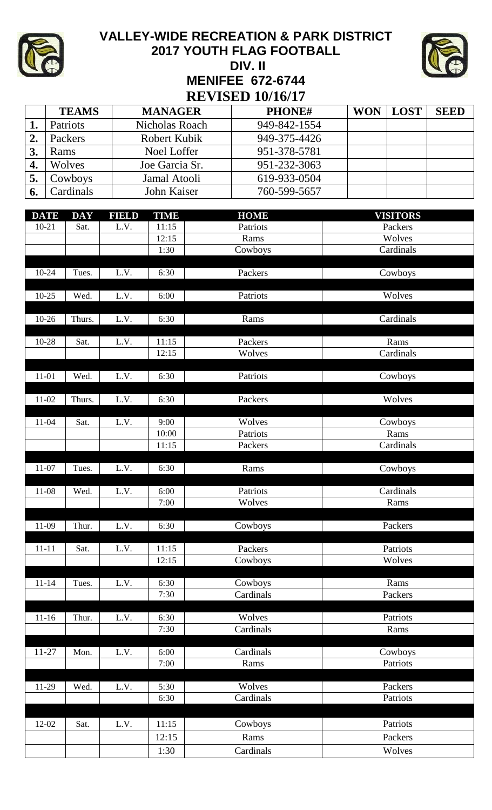

## **VALLEY-WIDE RECREATION & PARK DISTRICT 2017 YOUTH FLAG FOOTBALL DIV. II MENIFEE 672-6744 REVISED 10/16/17**



|    | <b>TEAMS</b>    | <b>MANAGER</b> | PHONE#       | <b>WON</b> | <b>LOST</b> | <b>SEED</b> |  |  |  |
|----|-----------------|----------------|--------------|------------|-------------|-------------|--|--|--|
|    | <b>Patriots</b> | Nicholas Roach | 949-842-1554 |            |             |             |  |  |  |
|    | Packers         | Robert Kubik   | 949-375-4426 |            |             |             |  |  |  |
| 3. | Rams            | Noel Loffer    | 951-378-5781 |            |             |             |  |  |  |
| 4. | Wolves          | Joe Garcia Sr. | 951-232-3063 |            |             |             |  |  |  |
|    | Cowboys         | Jamal Atooli   | 619-933-0504 |            |             |             |  |  |  |
|    | Cardinals       | John Kaiser    | 760-599-5657 |            |             |             |  |  |  |

| <b>DATE</b> | <b>DAY</b> | FIELD | <b>TIME</b> | <b>HOME</b> | <b>VISITORS</b> |
|-------------|------------|-------|-------------|-------------|-----------------|
| $10 - 21$   | Sat.       | L.V.  | 11:15       | Patriots    | Packers         |
|             |            |       | 12:15       | Rams        | Wolves          |
|             |            |       | 1:30        | Cowboys     | Cardinals       |
|             |            |       |             |             |                 |
| 10-24       | Tues.      | L.V.  | 6:30        | Packers     | Cowboys         |
|             |            |       |             |             |                 |
| $10-25$     | Wed.       | L.V.  | 6:00        | Patriots    | Wolves          |
| $10 - 26$   | Thurs.     | L.V.  | 6:30        | Rams        | Cardinals       |
|             |            |       |             |             |                 |
| 10-28       | Sat.       | L.V.  | 11:15       | Packers     | Rams            |
|             |            |       | 12:15       | Wolves      | Cardinals       |
|             |            |       |             |             |                 |
| 11-01       | Wed.       | L.V.  | 6:30        | Patriots    | Cowboys         |
|             |            |       |             |             |                 |
| 11-02       | Thurs.     | L.V.  | 6:30        | Packers     | Wolves          |
|             |            |       |             |             |                 |
| $11 - 04$   | Sat.       | L.V.  | 9:00        | Wolves      | Cowboys         |
|             |            |       | 10:00       | Patriots    | Rams            |
|             |            |       | 11:15       | Packers     | Cardinals       |
| $11-07$     | Tues.      | L.V.  | 6:30        | Rams        | Cowboys         |
|             |            |       |             |             |                 |
| 11-08       | Wed.       | L.V.  | 6:00        | Patriots    | Cardinals       |
|             |            |       | 7:00        | Wolves      | Rams            |
|             |            |       |             |             |                 |
| 11-09       | Thur.      | L.V.  | 6:30        | Cowboys     | Packers         |
|             |            |       |             |             |                 |
| $11 - 11$   | Sat.       | L.V.  | 11:15       | Packers     | Patriots        |
|             |            |       | 12:15       | Cowboys     | Wolves          |
|             |            |       |             |             |                 |
| $11 - 14$   | Tues.      | L.V.  | 6:30        | Cowboys     | Rams            |
|             |            |       | 7:30        | Cardinals   | Packers         |
| $11 - 16$   | Thur.      | L.V.  | 6:30        | Wolves      | Patriots        |
|             |            |       | 7:30        | Cardinals   | Rams            |
|             |            |       |             |             |                 |
| $11 - 27$   | Mon.       | L.V.  | 6:00        | Cardinals   | Cowboys         |
|             |            |       | 7:00        | Rams        | Patriots        |
|             |            |       |             |             |                 |
| 11-29       | Wed.       | L.V.  | 5:30        | Wolves      | Packers         |
|             |            |       | 6:30        | Cardinals   | Patriots        |
|             |            |       |             |             |                 |
| 12-02       | Sat.       | L.V.  | 11:15       | Cowboys     | Patriots        |
|             |            |       | 12:15       | Rams        | Packers         |
|             |            |       | 1:30        | Cardinals   | Wolves          |
|             |            |       |             |             |                 |